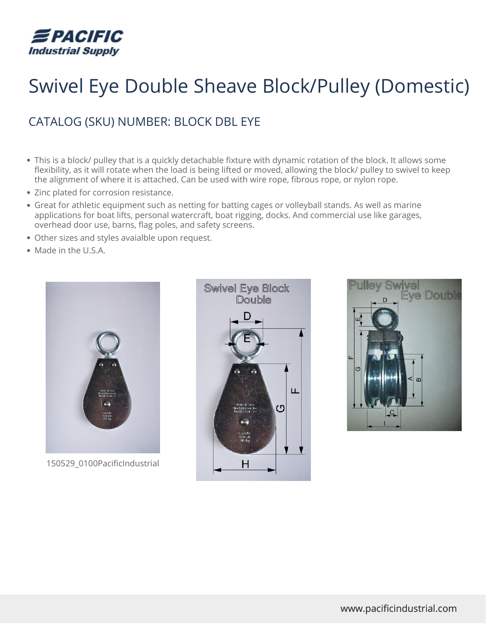

## Swivel Eye Double Sheave Block/Pulley (Domestic)

## CATALOG (SKU) NUMBER: BLOCK DBL EYE

- This is a block/ pulley that is a quickly detachable fixture with dynamic rotation of the block. It allows some flexibility, as it will rotate when the load is being lifted or moved, allowing the block/ pulley to swivel to keep the alignment of where it is attached. Can be used with wire rope, fibrous rope, or nylon rope.
- Zinc plated for corrosion resistance.
- Great for athletic equipment such as netting for batting cages or volleyball stands. As well as marine applications for boat lifts, personal watercraft, boat rigging, docks. And commercial use like garages, overhead door use, barns, flag poles, and safety screens.
- Other sizes and styles avaialble upon request.
- Made in the U.S.A.



150529\_0100PacificIndustrial



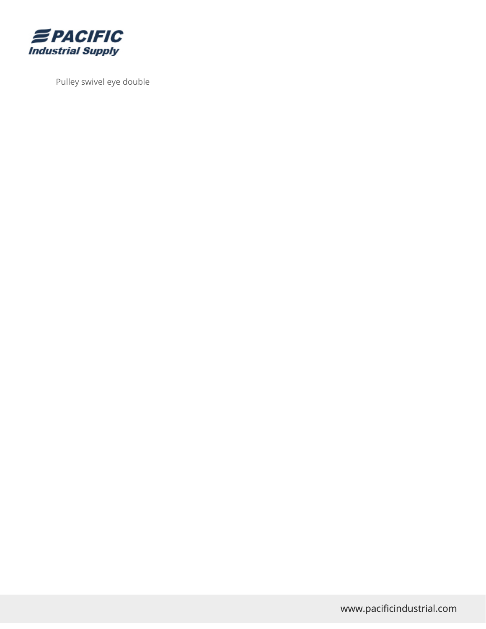

Pulley swivel eye double